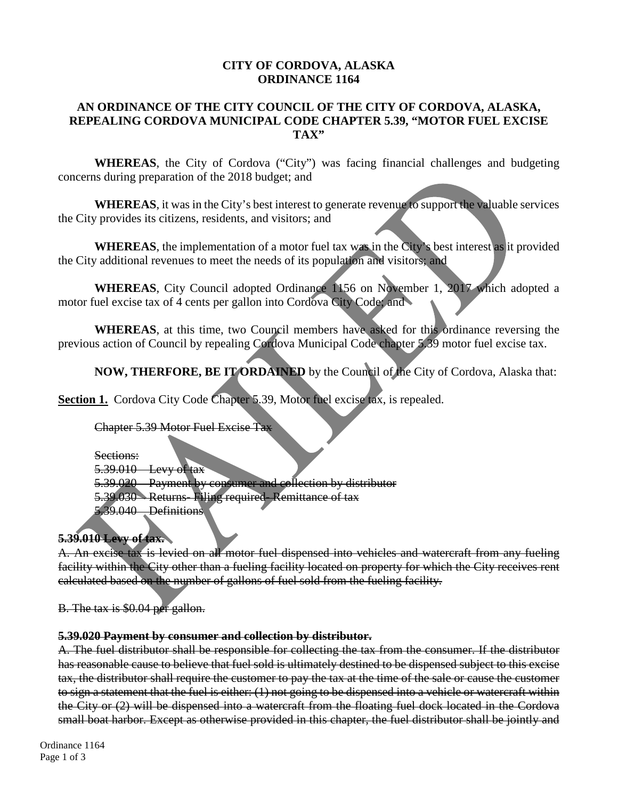#### **CITY OF CORDOVA, ALASKA ORDINANCE 1164**

# **AN ORDINANCE OF THE CITY COUNCIL OF THE CITY OF CORDOVA, ALASKA, REPEALING CORDOVA MUNICIPAL CODE CHAPTER 5.39, "MOTOR FUEL EXCISE TAX"**

**WHEREAS**, the City of Cordova ("City") was facing financial challenges and budgeting concerns during preparation of the 2018 budget; and

**WHEREAS**, it was in the City's best interest to generate revenue to support the valuable services the City provides its citizens, residents, and visitors; and

**WHEREAS**, the implementation of a motor fuel tax was in the City's best interest as it provided the City additional revenues to meet the needs of its population and visitors; and

**WHEREAS**, City Council adopted Ordinance 1156 on November 1, 2017 which adopted a motor fuel excise tax of 4 cents per gallon into Cordova City Code; and

**WHEREAS**, at this time, two Council members have asked for this ordinance reversing the previous action of Council by repealing Cordova Municipal Code chapter 5.39 motor fuel excise tax.

**NOW, THERFORE, BE IT ORDAINED** by the Council of the City of Cordova, Alaska that:

**Section 1.** Cordova City Code Chapter 5.39, Motor fuel excise tax, is repealed.

Chapter 5.39 Motor Fuel Excise Tax

Sections: 5.39.010 Levy of tax 5.39.020 Payment by consumer and collection by distributor 5.39.030 Returns- Filing required- Remittance of tax 5.39.040 Definitions

# **5.39.010 Levy of tax.**

A. An excise tax is levied on all motor fuel dispensed into vehicles and watercraft from any fueling facility within the City other than a fueling facility located on property for which the City receives rent calculated based on the number of gallons of fuel sold from the fueling facility.

B. The tax is \$0.04 per gallon.

#### **5.39.020 Payment by consumer and collection by distributor.**

A. The fuel distributor shall be responsible for collecting the tax from the consumer. If the distributor has reasonable cause to believe that fuel sold is ultimately destined to be dispensed subject to this excise tax, the distributor shall require the customer to pay the tax at the time of the sale or cause the customer to sign a statement that the fuel is either: (1) not going to be dispensed into a vehicle or watercraft within the City or (2) will be dispensed into a watercraft from the floating fuel dock located in the Cordova small boat harbor. Except as otherwise provided in this chapter, the fuel distributor shall be jointly and

Ordinance 1164 Page 1 of 3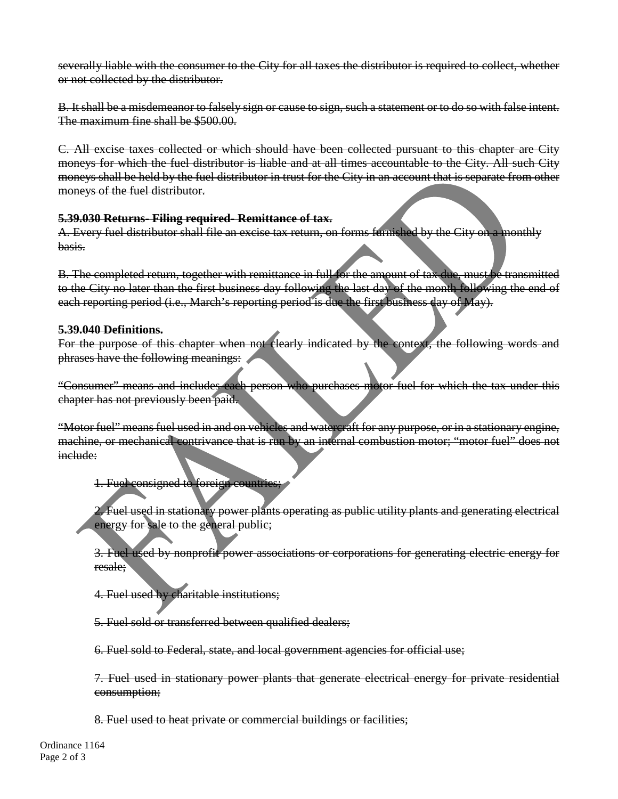severally liable with the consumer to the City for all taxes the distributor is required to collect, whether or not collected by the distributor.

B. It shall be a misdemeanor to falsely sign or cause to sign, such a statement or to do so with false intent. The maximum fine shall be \$500.00.

C. All excise taxes collected or which should have been collected pursuant to this chapter are City moneys for which the fuel distributor is liable and at all times accountable to the City. All such City moneys shall be held by the fuel distributor in trust for the City in an account that is separate from other moneys of the fuel distributor.

# **5.39.030 Returns- Filing required- Remittance of tax.**

A. Every fuel distributor shall file an excise tax return, on forms furnished by the City on a monthly basis.

B. The completed return, together with remittance in full for the amount of tax due, must be transmitted to the City no later than the first business day following the last day of the month following the end of each reporting period (i.e., March's reporting period is due the first business day of May).

# **5.39.040 Definitions.**

For the purpose of this chapter when not clearly indicated by the context, the following words and phrases have the following meanings:

"Consumer" means and includes each person who purchases motor fuel for which the tax under this chapter has not previously been paid.

"Motor fuel" means fuel used in and on vehicles and watercraft for any purpose, or in a stationary engine, machine, or mechanical contrivance that is run by an internal combustion motor; "motor fuel" does not include:

#### 1. Fuel consigned to foreign countries;

2. Fuel used in stationary power plants operating as public utility plants and generating electrical energy for sale to the general public;

3. Fuel used by nonprofit power associations or corporations for generating electric energy for resale;

4. Fuel used by charitable institutions;

5. Fuel sold or transferred between qualified dealers;

6. Fuel sold to Federal, state, and local government agencies for official use;

7. Fuel used in stationary power plants that generate electrical energy for private residential consumption;

8. Fuel used to heat private or commercial buildings or facilities;